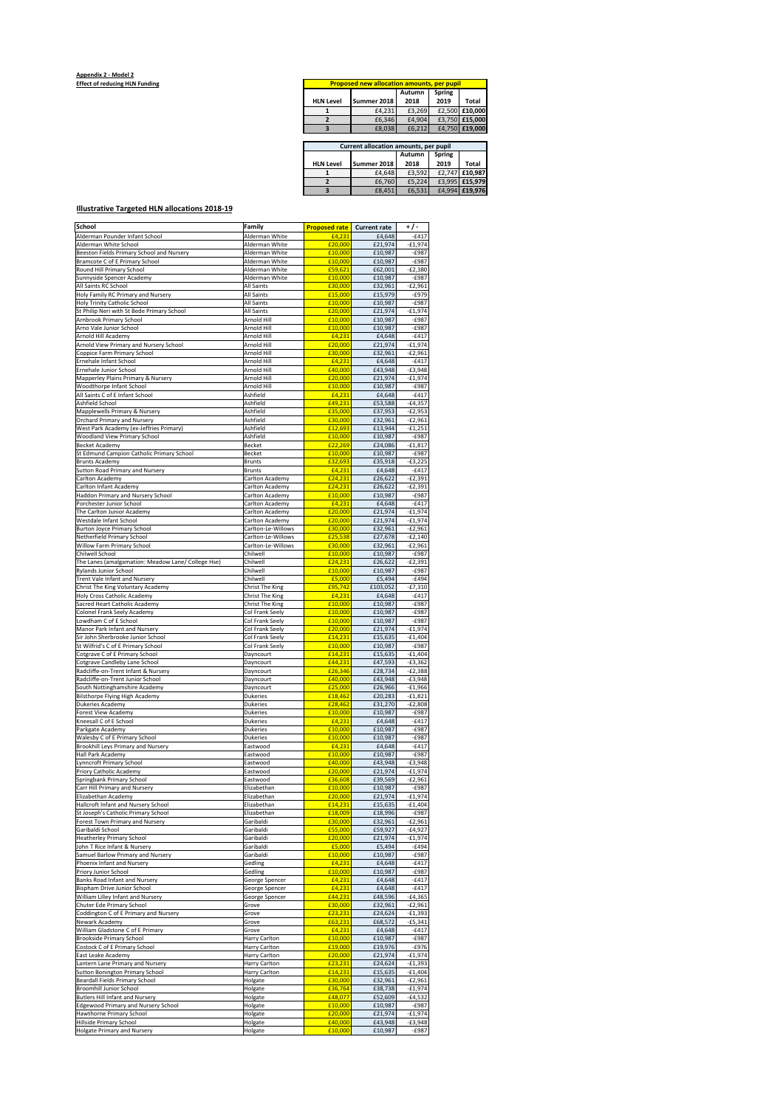## **Appendix 2 - Model 2 Effect of reducing HLN Funding**

| <b>Proposed new allocation amounts, per pupil</b> |             |        |        |                |  |
|---------------------------------------------------|-------------|--------|--------|----------------|--|
|                                                   |             | Autumn | Spring |                |  |
| <b>HLN Level</b>                                  | Summer 2018 | 2018   | 2019   | Total          |  |
|                                                   | £4.231      | £3.269 |        | £2,500 £10,000 |  |
|                                                   | £6.346      | £4.904 |        | £3.750 £15.000 |  |
|                                                   | £8,038      | £6.212 |        | £4,750 £19,000 |  |

| Current allocation amounts, per pupil |  |             |        |        |                |
|---------------------------------------|--|-------------|--------|--------|----------------|
|                                       |  |             | Autumn | Spring |                |
| <b>HLN Level</b>                      |  | Summer 2018 | 2018   | 2019   | Total          |
|                                       |  | £4.648      | £3.592 |        | £2,747 £10.987 |
|                                       |  | £6.760      | £5.224 |        | £3,995 £15,979 |
|                                       |  | £8,451      | £6.531 |        | £4.994 £19.976 |
|                                       |  |             |        |        |                |

## **Illustrative Targeted HLN allocations 2018-19**

| School                                                          | Family                 | <b>Proposed rate</b> | <b>Current rate</b> | ٠/٠       |
|-----------------------------------------------------------------|------------------------|----------------------|---------------------|-----------|
| Alderman Pounder Infant School                                  | Alderman White         | £4,231               | £4,648              | $-6417$   |
|                                                                 |                        | £20,000              | £21,974             | $-£1,974$ |
| Alderman White School                                           | Alderman White         |                      |                     |           |
| Beeston Fields Primary School and Nursery                       | Alderman White         | £10,000              | £10,987             | $-£987$   |
| Bramcote C of E Primary School                                  | Alderman White         | £10,000              | £10,987             | $-£987$   |
| Round Hill Primary School                                       | Alderman White         | £59,621              | £62,001             | $-E2,380$ |
| Sunnyside Spencer Academy                                       | Alderman White         | £10,000              | £10,987             | $-£987$   |
| All Saints RC School                                            | All Saints             | £30,000              | £32,961             | $-£2,961$ |
| Holy Family RC Primary and Nursery                              | All Saints             | £15,000              | £15,979             | $-£979$   |
| Holy Trinity Catholic School                                    | All Saints             | £10,000              | £10,987             | $-£987$   |
| St Philip Neri with St Bede Primary School                      | All Saints             | £20,000              | £21,974             | $-£1,974$ |
|                                                                 |                        |                      |                     |           |
| Arnbrook Primary School                                         | Arnold Hill            | £10,000              | £10,987             | -£987     |
| Arno Vale Junior School                                         | Arnold Hill            | £10,000              | £10,987             | $-£987$   |
| Arnold Hill Academy                                             | Arnold Hill            | £4,231               | £4,648              | $-E417$   |
| Arnold View Primary and Nursery School                          | Arnold Hill            | £20,000              | £21,974             | $-£1,974$ |
| Coppice Farm Primary School                                     | Arnold Hill            | £30,000              | £32,961             | £2,961-   |
| Ernehale Infant School                                          | Arnold Hill            | £4,231               | £4,648              | $-6417$   |
| Ernehale Junior School                                          | Arnold Hill            | £40,000              | £43,948             | $-£3,948$ |
|                                                                 | Arnold Hill            |                      |                     |           |
| Mapperley Plains Primary & Nursery                              |                        | £20,000              | £21,974             | $-£1,974$ |
| Woodthorpe Infant School                                        | Arnold Hill            | £10,000              | £10,987             | -£987     |
| All Saints C of E Infant School                                 | Ashfield               | £4,231               | £4,648              | $-£417$   |
| Ashfield School                                                 | Ashfield               | £49,231              | £53,588             | $-£4,357$ |
| Mapplewells Primary & Nursery                                   | Ashfield               | £35,000              | £37,953             | $-£2,953$ |
| Orchard Primary and Nursery                                     | Ashfield               | £30,000              | £32,961             | £2,961    |
| West Park Academy (ex-Jeffries Primary)                         | Ashfield               | £12,693              | £13,944             | $-f1,251$ |
| Woodland View Primary School                                    | Ashfield               | £10,000              | £10,987             | $-£987$   |
|                                                                 |                        |                      |                     |           |
| <b>Becket Academy</b>                                           | <b>Becket</b>          | £22,269              | £24,086             | $-£1,817$ |
| St Edmund Campion Catholic Primary School                       | Becket                 | £10,000              | £10,987             | -£987     |
| <b>Brunts Academy</b>                                           | <b>Brunts</b>          | £32,693              | £35,918             | $-£3,225$ |
| Sutton Road Primary and Nursery                                 | <b>Brunts</b>          | £4,231               | £4,648              | $-£417$   |
| Carlton Academy                                                 | Carlton Academy        | £24,231              | £26,622             | $-E2,391$ |
| Carlton Infant Academy                                          | Carlton Academy        | £24,231              | £26,622             | E2,391-   |
| Haddon Primary and Nursery School                               | Carlton Academy        | £10,000              | £10,987             | $-£987$   |
| Porchester Junior School                                        | Carlton Academy        | £4,231               | £4,648              | $-E417$   |
|                                                                 |                        |                      |                     |           |
| The Carlton Junior Academy                                      | Carlton Academy        | £20,000              | £21,974             | $-£1,974$ |
| Westdale Infant School                                          | Carlton Academy        | £20,000              | £21,974             | $-£1,974$ |
| <b>Burton Joyce Primary School</b>                              | Carlton-Le-Willows     | £30,000              | £32,961             | $-£2,961$ |
| Netherfield Primary School                                      | Carlton-Le-Willows     | £25.538              | £27,678             | $-E2,140$ |
| Willow Farm Primary School                                      | Carlton-Le-Willows     | £30,000              | £32,961             | $-£2,961$ |
| Chilwell School                                                 | Chilwell               | £10,000              | £10,987             | $-6987$   |
| The Lanes (amalgamation: Meadow Lane/ College Hse)              | Chilwell               | £24,231              | £26,622             | $-£2,391$ |
| Rylands Junior School                                           | Chilwell               | £10,000              | £10,987             | $-6987$   |
| Trent Vale Infant and Nursery                                   |                        |                      |                     |           |
|                                                                 | Chilwell               | £5,000               | £5,494              | $-E494$   |
| Christ The King Voluntary Academy                               | <b>Christ The King</b> | £95,742              | £103,052            | $-£7,310$ |
| <b>Holy Cross Catholic Academy</b>                              | <b>Christ The King</b> | £4,231               | £4,648              | -£417     |
| Sacred Heart Catholic Academy                                   | Christ The King        | £10,000              | £10,987             | $-6987$   |
| Colonel Frank Seely Academy                                     | Col Frank Seely        | £10,000              | £10,987             | $-£987$   |
| Lowdham C of E School                                           | Col Frank Seely        | £10,000              | £10,987             | $-£987$   |
| Manor Park Infant and Nursery                                   | Col Frank Seely        | £20,000              | £21,974             | $-£1,974$ |
|                                                                 |                        | £14,231              |                     |           |
| Sir John Sherbrooke Junior School                               | Col Frank Seely        |                      | £15,635             | $-£1,404$ |
| St Wilfrid's C of E Primary School                              | Col Frank Seely        | £10,000              | £10,987             | $-£987$   |
| Cotgrave C of E Primary School                                  | Dayncourt              | £14,231              | £15,635             | -£1,404   |
| Cotgrave Candleby Lane School                                   | Dayncourt              | £44,231              | £47,593             | $-£3,362$ |
| Radcliffe-on-Trent Infant & Nursery                             | Dayncourt              | £26,346              | £28,734             | $-E2,388$ |
| Radcliffe-on-Trent Junior School                                | Dayncourt              | £40,000              | £43,948             | $-£3,948$ |
| South Nottinghamshire Academy                                   | Dayncourt              | £25,000              | £26,966             | $-£1,966$ |
| Bilsthorpe Flying High Academy                                  | Dukeries               | £18,462              | £20,283             | £1,821    |
|                                                                 |                        |                      |                     |           |
| Dukeries Academy                                                | Dukeries               | £28,462              | £31,270             | $-E2,808$ |
| Forest View Academy                                             | Dukeries               | £10,000              | £10,987             | $-£987$   |
| Kneesall C of E School                                          | Dukeries               | £4,231               | £4,648              | $-E417$   |
| Parkgate Academy                                                | <b>Dukeries</b>        | £10,000              | £10,987             | $-£987$   |
| Walesby C of E Primary School                                   | Dukeries               | £10,000              | £10,987             | $-£987$   |
| <b>Brookhill Leys Primary and Nursery</b>                       | Eastwood               | £4,231               | £4,648              | $-E417$   |
| Hall Park Academy                                               | Eastwood               | £10,000              | £10,987             | $-£987$   |
| Lynncroft Primary School                                        | Eastwood               | £40,000              | £43,948             | $-£3,948$ |
|                                                                 |                        | £20,000              |                     | $-f1,974$ |
| Priory Catholic Academy                                         | Eastwood               |                      | £21,974             |           |
| Springbank Primary School                                       | Eastwood               | £36,608              | £39,569             | $-£2,961$ |
| Carr Hill Primary and Nursery                                   | Elizabethan            | £10,000              | £10,987             | $-6987$   |
| Elizabethan Academy                                             | Elizabethan            | £20,000              | £21,974             | $-£1,974$ |
| Hallcroft Infant and Nursery School                             | Elizabethan            | £14,231              | £15,635             | $-£1,404$ |
| St Joseph's Catholic Primary School                             | Elizabethan            | £18,009              | £18,996             | $-£987$   |
| Forest Town Primary and Nursery                                 | Garibaldi              | £30,000              | £32,961             | $-£2,961$ |
| Garibaldi School                                                | Garibaldi              | £55,000              | £59,927             | $-£4,927$ |
| <b>Heatherley Primary School</b>                                | Garibaldi              | £20,000              | £21,974             | $-£1,974$ |
| John T Rice Infant & Nursery                                    | Garibaldi              | £5,000               | £5.494              | $-£494$   |
|                                                                 |                        |                      |                     |           |
| Samuel Barlow Primary and Nursery<br>Phoenix Infant and Nursery | Garibaldi              | £10,000              | £10,987             | $-£987$   |
|                                                                 | Gedling                | £4,231               | £4,648              | $-£417$   |
| Priory Junior School                                            | Gedling                | £10,000              | £10,987             | -£987     |
| <b>Banks Road Infant and Nursery</b>                            | George Spencer         | £4,231               | £4,648              | $-E417$   |
| <b>Bispham Drive Junior School</b>                              | George Spencer         | £4,231               | £4,648              | $-£417$   |
| William Lilley Infant and Nursery                               | George Spencer         | £44,231              | £48,596             | $-£4,365$ |
| Chuter Ede Primary School                                       | Grove                  | £30,000              | £32,961             | £2,961    |
| Coddington C of E Primary and Nursery                           | Grove                  | £23,231              | £24,624             | $-£1,393$ |
| Newark Academy                                                  | Grove                  | £63,231              | £68,572             | $-65,341$ |
|                                                                 | Grove                  |                      |                     |           |
| William Gladstone C of E Primary                                |                        | £4,231               | £4,648              | -£417     |
| Brookside Primary School                                        | Harry Carlton          | £10,000              | £10,987             | -£987     |
| Costock C of E Primary School                                   | Harry Carlton          | £19,000              | £19,976             | $-£976$   |
| East Leake Academy                                              | Harry Carlton          | £20,000              | £21,974             | $-£1,974$ |
| Lantern Lane Primary and Nursery                                | Harry Carlton          | £23,231              | £24,624             | $-£1,393$ |
| Sutton Bonington Primary School                                 | Harry Carlton          | £14,231              | £15,635             | $-£1,404$ |
| Beardall Fields Primary School                                  | Holgate                | £30,000              | £32,961             | $-£2,961$ |
| <b>Broomhill Junior School</b>                                  | Holgate                | £36,764              | £38,738             | $-£1,974$ |
| <b>Butlers Hill Infant and Nursery</b>                          |                        | £48,077              |                     |           |
|                                                                 | Holgate                |                      | £52,609             | $-£4,532$ |
| Edgewood Primary and Nursery School                             | Holgate                | £10,000              | £10,987             | $-£987$   |
| <b>Hawthorne Primary School</b>                                 | Holgate                | £20,000              | £21,974             | $-£1,974$ |
| Hillside Primary School                                         | Holgate                | £40,000              | £43,948             | $-£3,948$ |
| <b>Holgate Primary and Nursery</b>                              | Holgate                | £10,000              | £10,987             | $-£987$   |